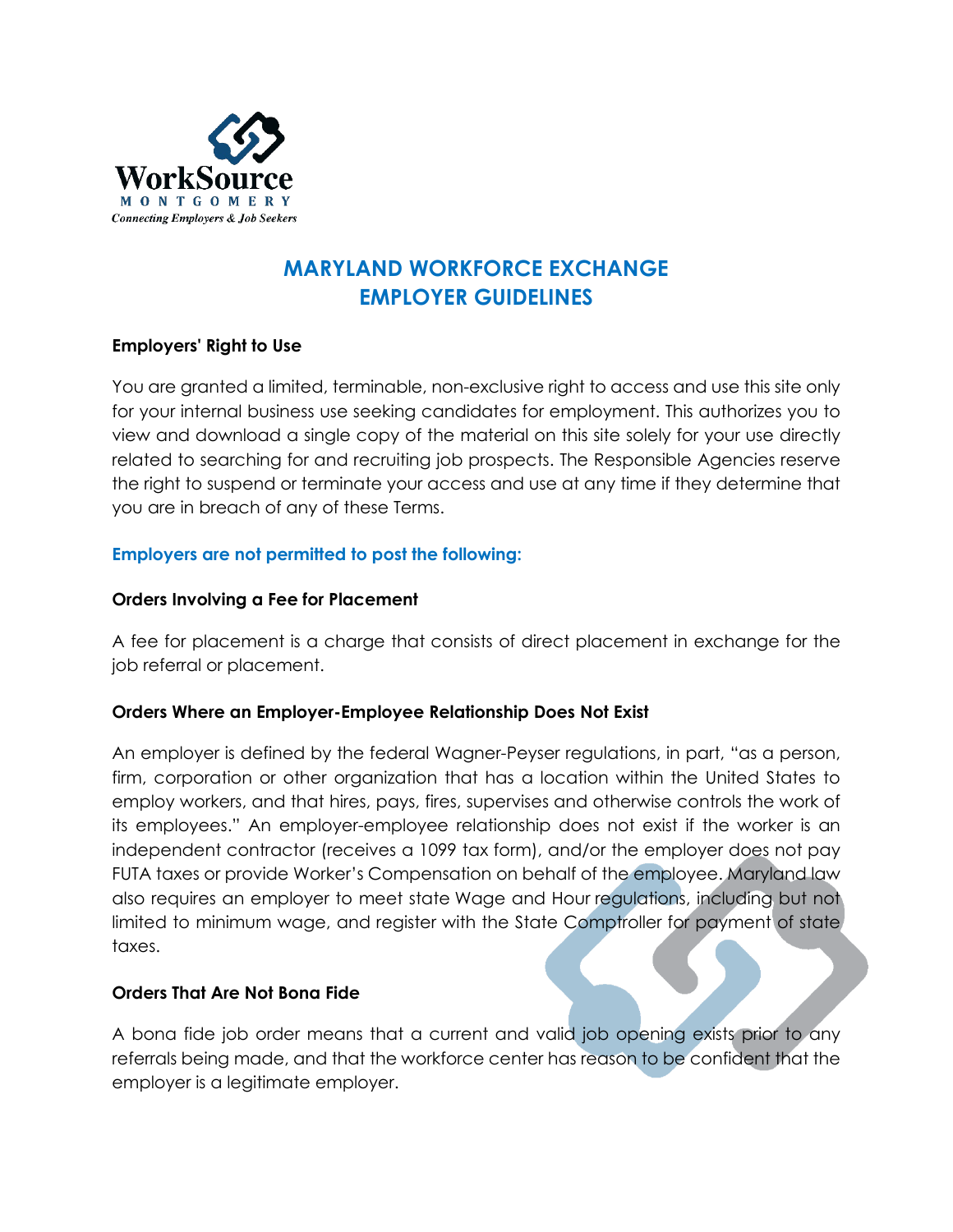

# **MARYLAND WORKFORCE EXCHANGE EMPLOYER GUIDELINES**

## **Employers' Right to Use**

You are granted a limited, terminable, non-exclusive right to access and use this site only for your internal business use seeking candidates for employment. This authorizes you to view and download a single copy of the material on this site solely for your use directly related to searching for and recruiting job prospects. The Responsible Agencies reserve the right to suspend or terminate your access and use at any time if they determine that you are in breach of any of these Terms.

## **Employers are not permitted to post the following:**

## **Orders Involving a Fee for Placement**

A fee for placement is a charge that consists of direct placement in exchange for the job referral or placement.

## **Orders Where an Employer-Employee Relationship Does Not Exist**

An employer is defined by the federal Wagner-Peyser regulations, in part, "as a person, firm, corporation or other organization that has a location within the United States to employ workers, and that hires, pays, fires, supervises and otherwise controls the work of its employees." An employer-employee relationship does not exist if the worker is an independent contractor (receives a 1099 tax form), and/or the employer does not pay FUTA taxes or provide Worker's Compensation on behalf of the employee. Maryland law also requires an employer to meet state Wage and Hour regulations, including but not limited to minimum wage, and register with the State Comptroller for payment of state taxes.

## **Orders That Are Not Bona Fide**

A bona fide job order means that a current and valid job opening exists prior to any referrals being made, and that the workforce center has reason to be confident that the employer is a legitimate employer.